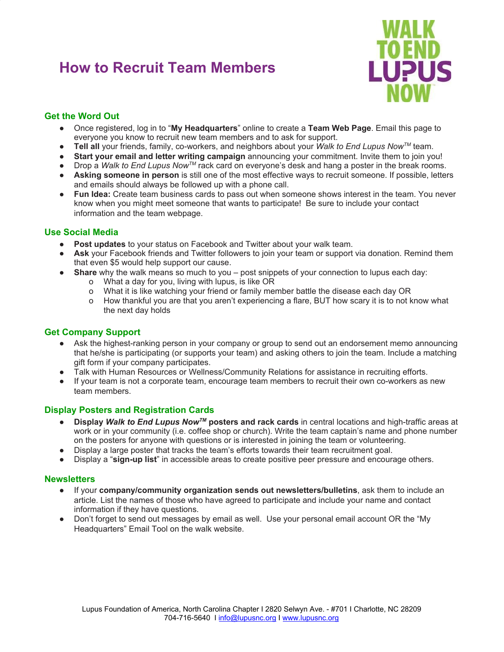# **How to Recruit Team Members**



# **Get the Word Out**

- Once registered, log in to "**My Headquarters**" online to create a **Team Web Page**. Email this page to everyone you know to recruit new team members and to ask for support.
- **Tell all** your friends, family, co-workers, and neighbors about your *Walk to End Lupus Now™* team.
- **Start your email and letter writing campaign** announcing your commitment. Invite them to join you!
- Drop a *Walk to End Lupus Now™* rack card on everyone's desk and hang a poster in the break rooms.
- **Asking someone in person** is still one of the most effective ways to recruit someone. If possible, letters and emails should always be followed up with a phone call.
- **Fun Idea:** Create team business cards to pass out when someone shows interest in the team. You never know when you might meet someone that wants to participate! Be sure to include your contact information and the team webpage.

### **Use Social Media**

- Post updates to your status on Facebook and Twitter about your walk team.
- Ask your Facebook friends and Twitter followers to join your team or support via donation. Remind them that even \$5 would help support our cause.
- **Share** why the walk means so much to you post snippets of your connection to lupus each day:
	- o What a day for you, living with lupus, is like OR
	- o What it is like watching your friend or family member battle the disease each day OR
	- o How thankful you are that you aren't experiencing a flare, BUT how scary it is to not know what the next day holds

## **Get Company Support**

- Ask the highest-ranking person in your company or group to send out an endorsement memo announcing that he/she is participating (or supports your team) and asking others to join the team. Include a matching gift form if your company participates.
- Talk with Human Resources or Wellness/Community Relations for assistance in recruiting efforts.
- If your team is not a corporate team, encourage team members to recruit their own co-workers as new team members.

## **Display Posters and Registration Cards**

- **Display** *Walk to End Lupus NowTM* **posters and rack cards** in central locations and high-traffic areas at work or in your community (i.e. coffee shop or church). Write the team captain's name and phone number on the posters for anyone with questions or is interested in joining the team or volunteering.
- Display a large poster that tracks the team's efforts towards their team recruitment goal.
- Display a "**sign-up list**" in accessible areas to create positive peer pressure and encourage others.

### **Newsletters**

- If your **company/community organization sends out newsletters/bulletins**, ask them to include an article. List the names of those who have agreed to participate and include your name and contact information if they have questions.
- Don't forget to send out messages by email as well. Use your personal email account OR the "My Headquarters" Email Tool on the walk website.